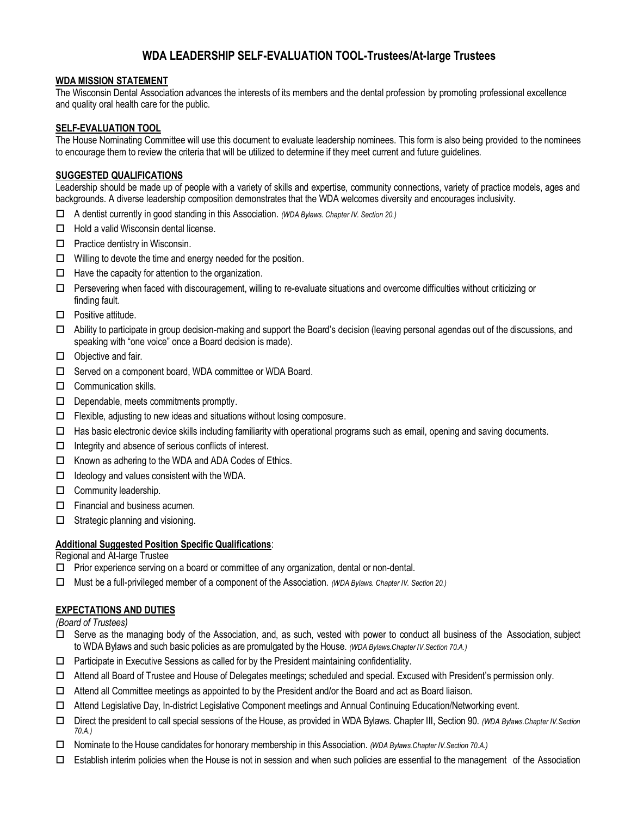# **WDA LEADERSHIP SELF-EVALUATION TOOL-Trustees/At-large Trustees**

## **WDA MISSION STATEMENT**

The Wisconsin Dental Association advances the interests of its members and the dental profession by promoting professional excellence and quality oral health care for the public.

## **SELF-EVALUATION TOOL**

The House Nominating Committee will use this document to evaluate leadership nominees. This form is also being provided to the nominees to encourage them to review the criteria that will be utilized to determine if they meet current and future guidelines.

# **SUGGESTED QUALIFICATIONS**

Leadership should be made up of people with a variety of skills and expertise, community connections, variety of practice models, ages and backgrounds. A diverse leadership composition demonstrates that the WDA welcomes diversity and encourages inclusivity.

- A dentist currently in good standing in this Association. *(WDA Bylaws. Chapter IV. Section 20.)*
- $\Box$  Hold a valid Wisconsin dental license.
- $\Box$  Practice dentistry in Wisconsin.
- $\Box$  Willing to devote the time and energy needed for the position.
- $\Box$  Have the capacity for attention to the organization.
- $\Box$  Persevering when faced with discouragement, willing to re-evaluate situations and overcome difficulties without criticizing or finding fault.
- $\square$  Positive attitude.
- $\Box$  Ability to participate in group decision-making and support the Board's decision (leaving personal agendas out of the discussions, and speaking with "one voice" once a Board decision is made).
- $\Box$  Objective and fair.
- □ Served on a component board, WDA committee or WDA Board.
- $\Box$  Communication skills.
- $\Box$  Dependable, meets commitments promptly.
- $\Box$  Flexible, adjusting to new ideas and situations without losing composure.
- $\Box$  Has basic electronic device skills including familiarity with operational programs such as email, opening and saving documents.
- $\Box$  Integrity and absence of serious conflicts of interest.
- $\Box$  Known as adhering to the WDA and ADA Codes of Ethics.
- $\Box$  Ideology and values consistent with the WDA.
- **Community leadership.**
- $\Box$  Financial and business acumen.
- $\Box$  Strategic planning and visioning.

## **Additional Suggested Position Specific Qualifications**:

Regional and At-large Trustee

- $\Box$  Prior experience serving on a board or committee of any organization, dental or non-dental.
- Must be a full-privileged member of a component of the Association. *(WDA Bylaws. Chapter IV. Section 20.)*

## **EXPECTATIONS AND DUTIES**

*(Board of Trustees)*

- $\Box$  Serve as the managing body of the Association, and, as such, vested with power to conduct all business of the Association, subject to WDA Bylaws and such basic policies as are promulgated by the House. *(WDA Bylaws.Chapter IV.Section 70.A.)*
- $\Box$  Participate in Executive Sessions as called for by the President maintaining confidentiality.
- Attend all Board of Trustee and House of Delegates meetings; scheduled and special. Excused with President's permission only.
- $\Box$  Attend all Committee meetings as appointed to by the President and/or the Board and act as Board liaison.
- Attend Legislative Day, In-district Legislative Component meetings and Annual Continuing Education/Networking event.
- Direct the president to call special sessions of the House, as provided in WDA Bylaws. Chapter III, Section 90. *(WDA Bylaws.Chapter IV.Section 70.A.)*
- Nominate to the House candidates for honorary membership in this Association. *(WDA Bylaws.Chapter IV.Section 70.A.)*
- $\Box$  Establish interim policies when the House is not in session and when such policies are essential to the management of the Association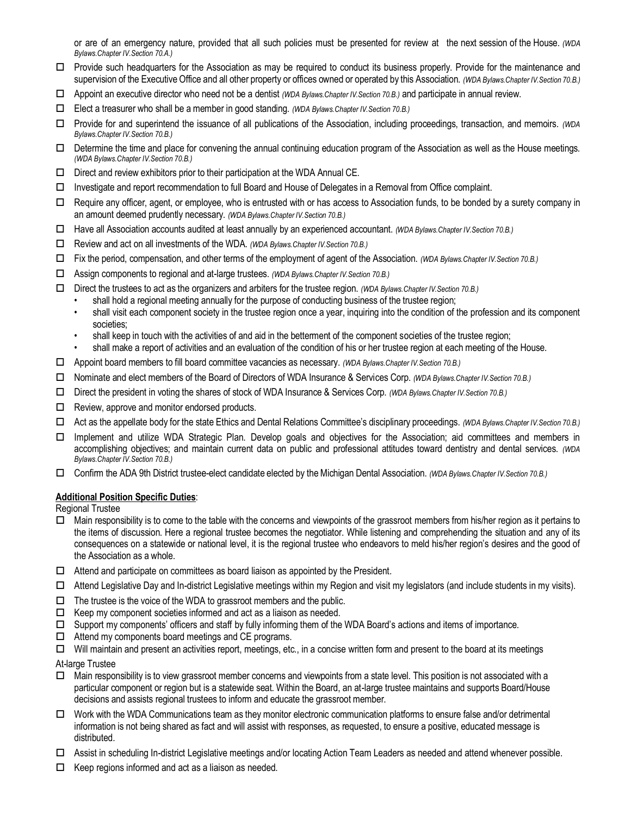or are of an emergency nature, provided that all such policies must be presented for review at the next session of the House. *(WDA Bylaws.Chapter IV.Section 70.A.)*

- Provide such headquarters for the Association as may be required to conduct its business properly. Provide for the maintenance and supervision of the Executive Office and all other property or offices owned or operated by this Association. *(WDA Bylaws.Chapter IV.Section 70.B.)*
- Appoint an executive director who need not be a dentist *(WDA Bylaws.Chapter IV.Section 70.B.)* and participate in annual review.
- Elect a treasurer who shall be a member in good standing. *(WDA Bylaws.Chapter IV.Section 70.B.)*
- Provide for and superintend the issuance of all publications of the Association, including proceedings, transaction, and memoirs. *(WDA Bylaws.Chapter IV.Section 70.B.)*
- $\Box$  Determine the time and place for convening the annual continuing education program of the Association as well as the House meetings. *(WDA Bylaws.Chapter IV.Section 70.B.)*
- $\square$  Direct and review exhibitors prior to their participation at the WDA Annual CE.
- $\Box$  Investigate and report recommendation to full Board and House of Delegates in a Removal from Office complaint.
- Require any officer, agent, or employee, who is entrusted with or has access to Association funds, to be bonded by a surety company in an amount deemed prudently necessary. *(WDA Bylaws.Chapter IV.Section 70.B.)*
- Have all Association accounts audited at least annually by an experienced accountant. *(WDA Bylaws.Chapter IV.Section 70.B.)*
- Review and act on all investments of the WDA. *(WDA Bylaws.Chapter IV.Section 70.B.)*
- Fix the period, compensation, and other terms of the employment of agent of the Association. *(WDA Bylaws.Chapter IV.Section 70.B.)*
- Assign components to regional and at-large trustees. *(WDA Bylaws.Chapter IV.Section 70.B.)*
- Direct the trustees to act as the organizers and arbiters for the trustee region. *(WDA Bylaws.Chapter IV.Section 70.B.)*
	- shall hold a regional meeting annually for the purpose of conducting business of the trustee region;
	- shall visit each component society in the trustee region once a year, inquiring into the condition of the profession and its component societies;
	- shall keep in touch with the activities of and aid in the betterment of the component societies of the trustee region;
	- shall make a report of activities and an evaluation of the condition of his or her trustee region at each meeting of the House.
- Appoint board members to fill board committee vacancies as necessary. *(WDA Bylaws.Chapter IV.Section 70.B.)*
- Nominate and elect members of the Board of Directors of WDA Insurance & Services Corp. *(WDA Bylaws.Chapter IV.Section 70.B.)*
- Direct the president in voting the shares of stock of WDA Insurance & Services Corp. *(WDA Bylaws.Chapter IV.Section 70.B.)*
- $\Box$  Review, approve and monitor endorsed products.
- Act as the appellate body for the state Ethics and Dental Relations Committee's disciplinary proceedings. *(WDA Bylaws.Chapter IV.Section 70.B.)*
- □ Implement and utilize WDA Strategic Plan. Develop goals and objectives for the Association; aid committees and members in accomplishing objectives; and maintain current data on public and professional attitudes toward dentistry and dental services. *(WDA Bylaws.Chapter IV.Section 70.B.)*
- Confirm the ADA 9th District trustee-elect candidate elected by theMichigan Dental Association. *(WDA Bylaws.Chapter IV.Section 70.B.)*

## **Additional Position Specific Duties**:

Regional Trustee

- $\Box$  Main responsibility is to come to the table with the concerns and viewpoints of the grassroot members from his/her region as it pertains to the items of discussion. Here a regional trustee becomes the negotiator. While listening and comprehending the situation and any of its consequences on a statewide or national level, it is the regional trustee who endeavors to meld his/her region's desires and the good of the Association as a whole.
- $\Box$  Attend and participate on committees as board liaison as appointed by the President.
- $\Box$  Attend Legislative Day and In-district Legislative meetings within my Region and visit my legislators (and include students in my visits).
- $\Box$  The trustee is the voice of the WDA to grassroot members and the public.
- $\Box$  Keep my component societies informed and act as a liaison as needed.
- $\Box$  Support my components' officers and staff by fully informing them of the WDA Board's actions and items of importance.
- $\Box$  Attend my components board meetings and CE programs.
- $\Box$  Will maintain and present an activities report, meetings, etc., in a concise written form and present to the board at its meetings
- At-large Trustee
- $\Box$  Main responsibility is to view grassroot member concerns and viewpoints from a state level. This position is not associated with a particular component or region but is a statewide seat. Within the Board, an at-large trustee maintains and supports Board/House decisions and assists regional trustees to inform and educate the grassroot member.
- $\Box$  Work with the WDA Communications team as they monitor electronic communication platforms to ensure false and/or detrimental information is not being shared as fact and will assist with responses, as requested, to ensure a positive, educated message is distributed.
- Assist in scheduling In-district Legislative meetings and/or locating Action Team Leaders as needed and attend whenever possible.
- $\Box$  Keep regions informed and act as a liaison as needed.